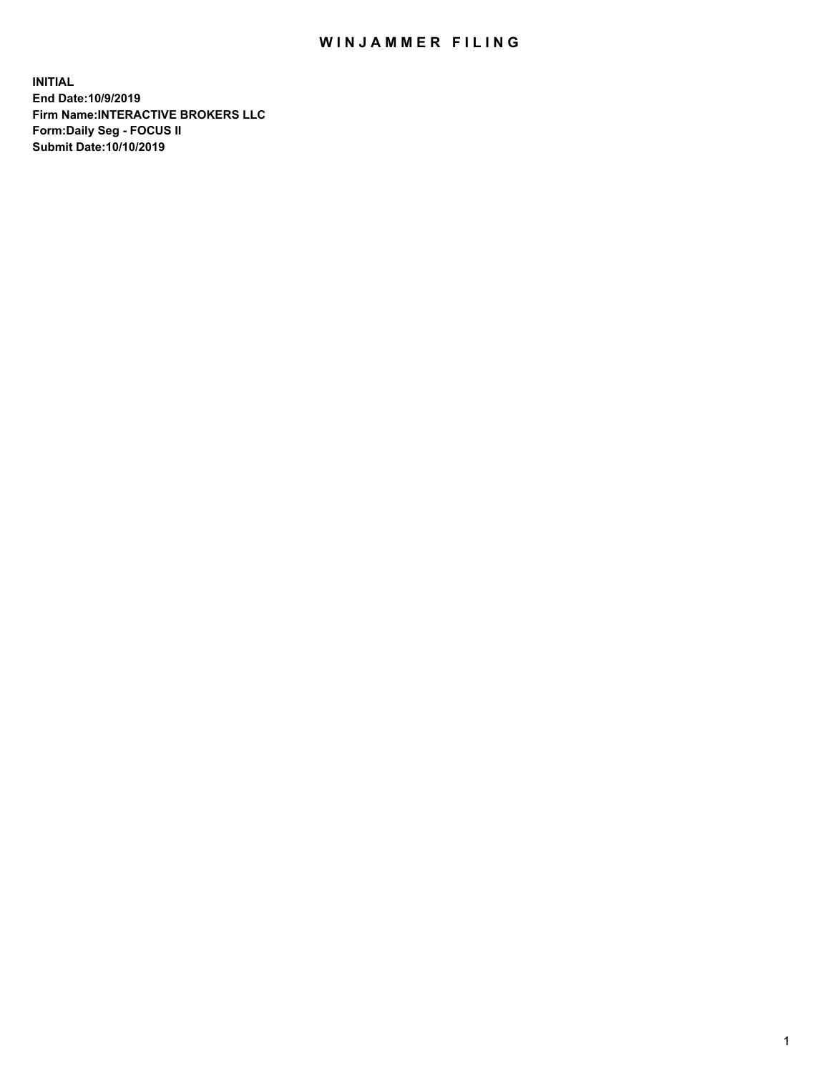## WIN JAMMER FILING

**INITIAL End Date:10/9/2019 Firm Name:INTERACTIVE BROKERS LLC Form:Daily Seg - FOCUS II Submit Date:10/10/2019**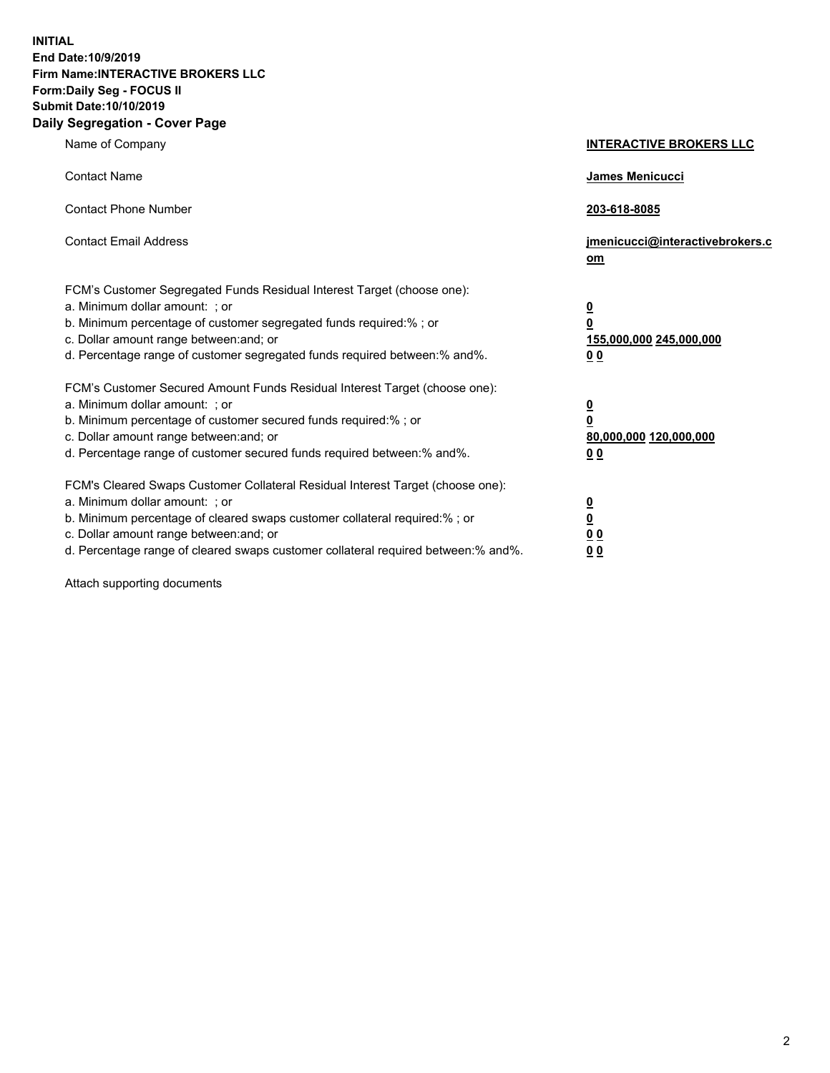**INITIAL End Date:10/9/2019 Firm Name:INTERACTIVE BROKERS LLC Form:Daily Seg - FOCUS II Submit Date:10/10/2019 Daily Segregation - Cover Page**

| Name of Company                                                                                                                                                                                                                                                                                                                | <b>INTERACTIVE BROKERS LLC</b>                                                                 |
|--------------------------------------------------------------------------------------------------------------------------------------------------------------------------------------------------------------------------------------------------------------------------------------------------------------------------------|------------------------------------------------------------------------------------------------|
| <b>Contact Name</b>                                                                                                                                                                                                                                                                                                            | James Menicucci                                                                                |
| <b>Contact Phone Number</b>                                                                                                                                                                                                                                                                                                    | 203-618-8085                                                                                   |
| <b>Contact Email Address</b>                                                                                                                                                                                                                                                                                                   | jmenicucci@interactivebrokers.c<br>om                                                          |
| FCM's Customer Segregated Funds Residual Interest Target (choose one):<br>a. Minimum dollar amount: ; or<br>b. Minimum percentage of customer segregated funds required:% ; or<br>c. Dollar amount range between: and; or<br>d. Percentage range of customer segregated funds required between:% and%.                         | $\overline{\mathbf{0}}$<br>$\overline{\mathbf{0}}$<br>155,000,000 245,000,000<br>00            |
| FCM's Customer Secured Amount Funds Residual Interest Target (choose one):<br>a. Minimum dollar amount: ; or<br>b. Minimum percentage of customer secured funds required:%; or<br>c. Dollar amount range between: and; or<br>d. Percentage range of customer secured funds required between:% and%.                            | $\overline{\mathbf{0}}$<br>$\overline{\mathbf{0}}$<br>80,000,000 120,000,000<br>0 <sub>0</sub> |
| FCM's Cleared Swaps Customer Collateral Residual Interest Target (choose one):<br>a. Minimum dollar amount: ; or<br>b. Minimum percentage of cleared swaps customer collateral required:% ; or<br>c. Dollar amount range between: and; or<br>d. Percentage range of cleared swaps customer collateral required between:% and%. | $\overline{\mathbf{0}}$<br>$\overline{\mathbf{0}}$<br>0 <sub>0</sub><br>0 <sub>0</sub>         |

Attach supporting documents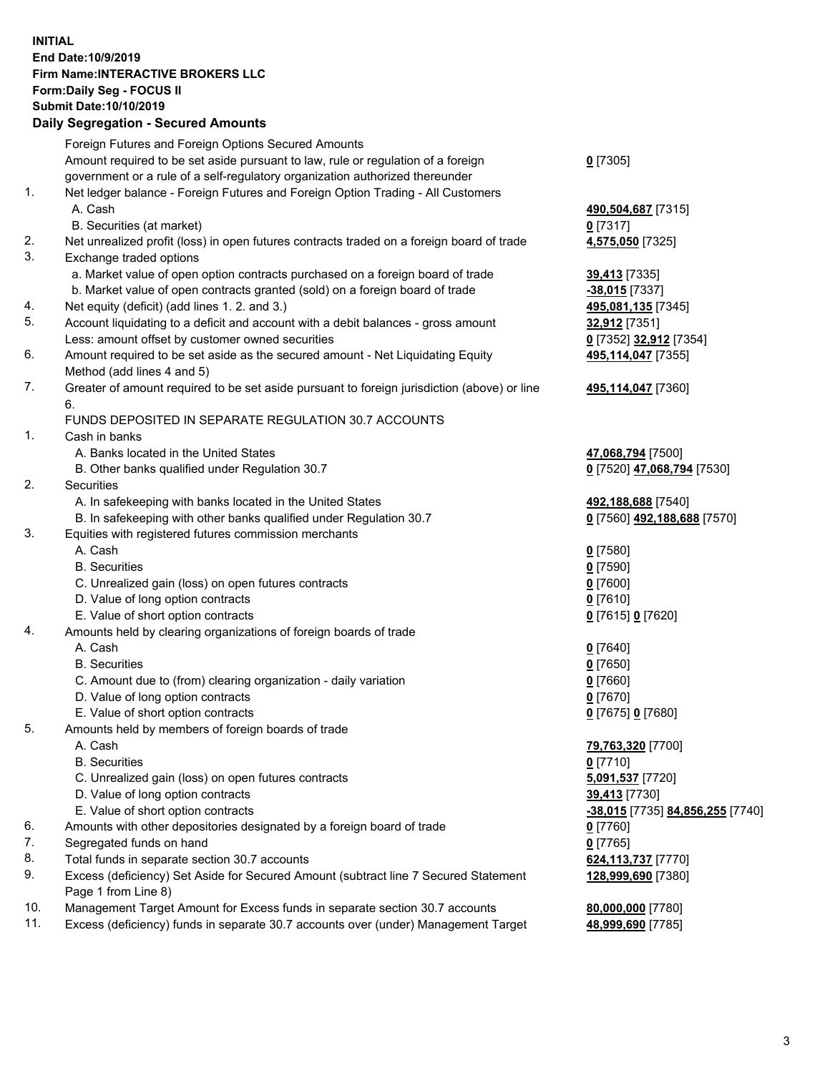## **INITIAL End Date:10/9/2019 Firm Name:INTERACTIVE BROKERS LLC Form:Daily Seg - FOCUS II Submit Date:10/10/2019 Daily Segregation - Secured Amounts**

|     | Daily Segregation - Secured Amounts                                                                                         |                                  |
|-----|-----------------------------------------------------------------------------------------------------------------------------|----------------------------------|
|     | Foreign Futures and Foreign Options Secured Amounts                                                                         |                                  |
|     | Amount required to be set aside pursuant to law, rule or regulation of a foreign                                            | $0$ [7305]                       |
|     | government or a rule of a self-regulatory organization authorized thereunder                                                |                                  |
| 1.  | Net ledger balance - Foreign Futures and Foreign Option Trading - All Customers                                             |                                  |
|     | A. Cash                                                                                                                     | 490,504,687 [7315]               |
|     | B. Securities (at market)                                                                                                   | $0$ [7317]                       |
| 2.  | Net unrealized profit (loss) in open futures contracts traded on a foreign board of trade                                   | 4,575,050 [7325]                 |
| 3.  | Exchange traded options                                                                                                     |                                  |
|     | a. Market value of open option contracts purchased on a foreign board of trade                                              | 39,413 [7335]                    |
|     | b. Market value of open contracts granted (sold) on a foreign board of trade                                                | -38,015 [7337]                   |
| 4.  | Net equity (deficit) (add lines 1.2. and 3.)                                                                                | 495,081,135 [7345]               |
| 5.  | Account liquidating to a deficit and account with a debit balances - gross amount                                           | 32,912 [7351]                    |
|     | Less: amount offset by customer owned securities                                                                            | 0 [7352] 32,912 [7354]           |
| 6.  | Amount required to be set aside as the secured amount - Net Liquidating Equity                                              | 495,114,047 [7355]               |
|     | Method (add lines 4 and 5)                                                                                                  |                                  |
| 7.  | Greater of amount required to be set aside pursuant to foreign jurisdiction (above) or line                                 | 495,114,047 [7360]               |
|     | 6.                                                                                                                          |                                  |
|     | FUNDS DEPOSITED IN SEPARATE REGULATION 30.7 ACCOUNTS                                                                        |                                  |
| 1.  | Cash in banks                                                                                                               |                                  |
|     | A. Banks located in the United States                                                                                       |                                  |
|     |                                                                                                                             | 47,068,794 [7500]                |
| 2.  | B. Other banks qualified under Regulation 30.7<br>Securities                                                                | 0 [7520] 47,068,794 [7530]       |
|     |                                                                                                                             |                                  |
|     | A. In safekeeping with banks located in the United States                                                                   | 492,188,688 [7540]               |
| 3.  | B. In safekeeping with other banks qualified under Regulation 30.7<br>Equities with registered futures commission merchants | 0 [7560] 492,188,688 [7570]      |
|     | A. Cash                                                                                                                     |                                  |
|     | <b>B.</b> Securities                                                                                                        | $0$ [7580]                       |
|     |                                                                                                                             | $0$ [7590]                       |
|     | C. Unrealized gain (loss) on open futures contracts                                                                         | $0$ [7600]                       |
|     | D. Value of long option contracts                                                                                           | $0$ [7610]                       |
|     | E. Value of short option contracts                                                                                          | 0 [7615] 0 [7620]                |
| 4.  | Amounts held by clearing organizations of foreign boards of trade                                                           |                                  |
|     | A. Cash                                                                                                                     | $0$ [7640]                       |
|     | <b>B.</b> Securities                                                                                                        | $0$ [7650]                       |
|     | C. Amount due to (from) clearing organization - daily variation                                                             | $0$ [7660]                       |
|     | D. Value of long option contracts                                                                                           | $0$ [7670]                       |
|     | E. Value of short option contracts                                                                                          | 0 [7675] 0 [7680]                |
| 5.  | Amounts held by members of foreign boards of trade                                                                          |                                  |
|     | A. Cash                                                                                                                     | 79,763,320 [7700]                |
|     | <b>B.</b> Securities                                                                                                        | $0$ [7710]                       |
|     | C. Unrealized gain (loss) on open futures contracts                                                                         | 5,091,537 [7720]                 |
|     | D. Value of long option contracts                                                                                           | 39,413 [7730]                    |
|     | E. Value of short option contracts                                                                                          | -38,015 [7735] 84,856,255 [7740] |
| 6.  | Amounts with other depositories designated by a foreign board of trade                                                      | 0 [7760]                         |
| 7.  | Segregated funds on hand                                                                                                    | $0$ [7765]                       |
| 8.  | Total funds in separate section 30.7 accounts                                                                               | 624,113,737 [7770]               |
| 9.  | Excess (deficiency) Set Aside for Secured Amount (subtract line 7 Secured Statement                                         | 128,999,690 [7380]               |
|     | Page 1 from Line 8)                                                                                                         |                                  |
| 10. | Management Target Amount for Excess funds in separate section 30.7 accounts                                                 | 80,000,000 [7780]                |
| 11. | Excess (deficiency) funds in separate 30.7 accounts over (under) Management Target                                          | 48,999,690 [7785]                |
|     |                                                                                                                             |                                  |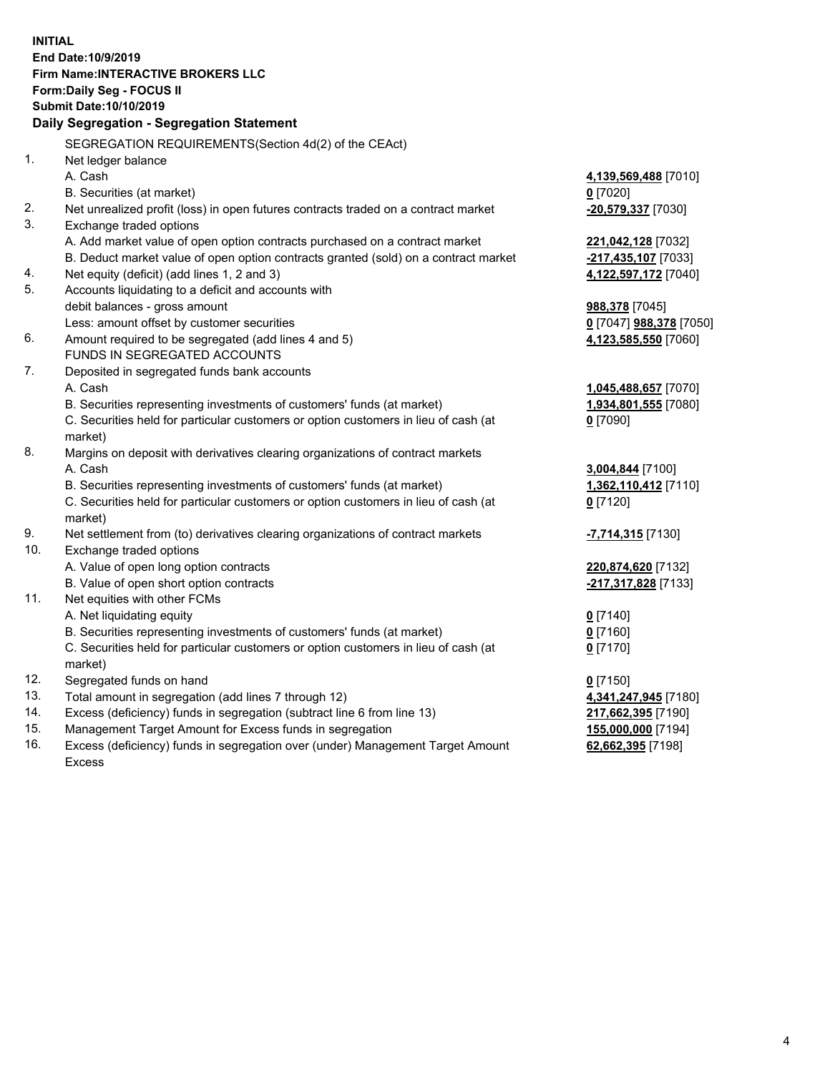**INITIAL End Date:10/9/2019 Firm Name:INTERACTIVE BROKERS LLC Form:Daily Seg - FOCUS II Submit Date:10/10/2019 Daily Segregation - Segregation Statement** SEGREGATION REQUIREMENTS(Section 4d(2) of the CEAct) 1. Net ledger balance A. Cash **4,139,569,488** [7010] B. Securities (at market) **0** [7020] 2. Net unrealized profit (loss) in open futures contracts traded on a contract market **-20,579,337** [7030] 3. Exchange traded options A. Add market value of open option contracts purchased on a contract market **221,042,128** [7032] B. Deduct market value of open option contracts granted (sold) on a contract market **-217,435,107** [7033] 4. Net equity (deficit) (add lines 1, 2 and 3) **4,122,597,172** [7040] 5. Accounts liquidating to a deficit and accounts with debit balances - gross amount **988,378** [7045] Less: amount offset by customer securities **0** [7047] **988,378** [7050] 6. Amount required to be segregated (add lines 4 and 5) **4,123,585,550** [7060] FUNDS IN SEGREGATED ACCOUNTS 7. Deposited in segregated funds bank accounts A. Cash **1,045,488,657** [7070] B. Securities representing investments of customers' funds (at market) **1,934,801,555** [7080] C. Securities held for particular customers or option customers in lieu of cash (at market) **0** [7090] 8. Margins on deposit with derivatives clearing organizations of contract markets A. Cash **3,004,844** [7100] B. Securities representing investments of customers' funds (at market) **1,362,110,412** [7110] C. Securities held for particular customers or option customers in lieu of cash (at market) **0** [7120] 9. Net settlement from (to) derivatives clearing organizations of contract markets **-7,714,315** [7130] 10. Exchange traded options A. Value of open long option contracts **220,874,620** [7132] B. Value of open short option contracts **-217,317,828** [7133] 11. Net equities with other FCMs A. Net liquidating equity **0** [7140] B. Securities representing investments of customers' funds (at market) **0** [7160] C. Securities held for particular customers or option customers in lieu of cash (at market) **0** [7170] 12. Segregated funds on hand **0** [7150] 13. Total amount in segregation (add lines 7 through 12) **4,341,247,945** [7180] 14. Excess (deficiency) funds in segregation (subtract line 6 from line 13) **217,662,395** [7190] 15. Management Target Amount for Excess funds in segregation **155,000,000** [7194] **62,662,395** [7198]

16. Excess (deficiency) funds in segregation over (under) Management Target Amount Excess